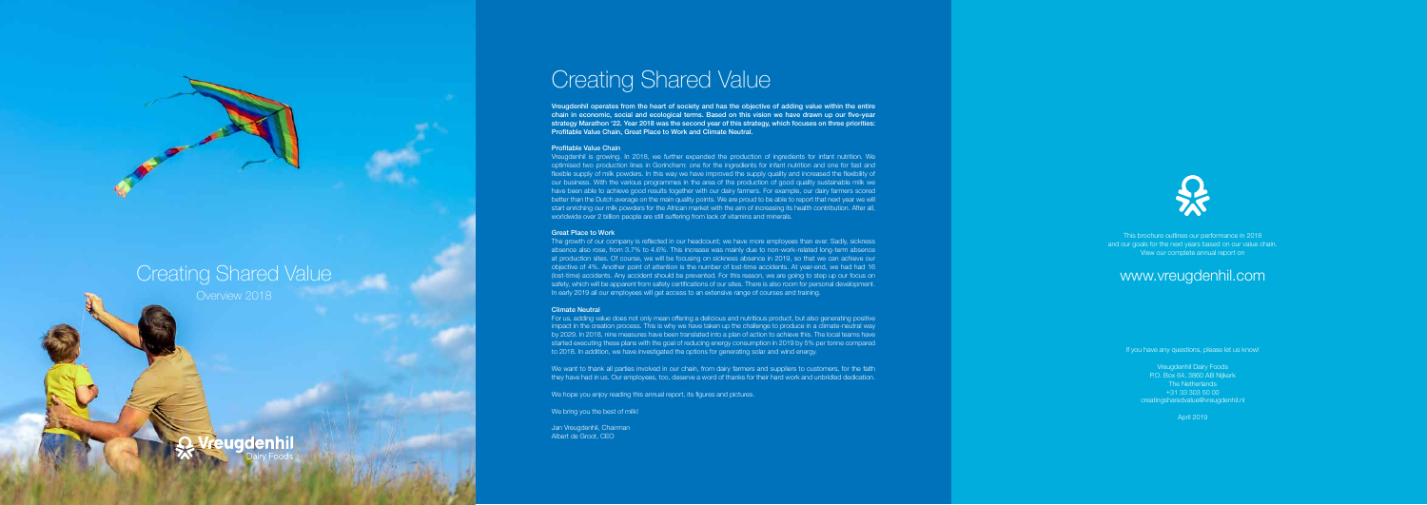This brochure outlines our performance in 2018 and our goals for the next years based on our value chain. View our complete annual report on

## www.vreugdenhil.com

If you have any questions, please let us know!

Vreugdenhil Dairy Foods P.O. Box 64, 3860 AB Nijkerk The Netherlands +31 33 303 50 00 creatingsharedvalue@vreugdenhil.nl

April 2019

Vreugdenhil operates from the heart of society and has the objective of adding value within the entire chain in economic, social and ecological terms. Based on this vision we have drawn up our five-year strategy Marathon '22. Year 2018 was the second year of this strategy, which focuses on three priorities: Profitable Value Chain, Great Place to Work and Climate Neutral.

#### Profitable Value Chain

Vreugdenhil is growing. In 2018, we further expanded the production of ingredients for infant nutrition. We optimised two production lines in Gorinchem: one for the ingredients for infant nutrition and one for fast and flexible supply of milk powders. In this way we have improved the supply quality and increased the flexibility of our business. With the various programmes in the area of the production of good quality sustainable milk we have been able to achieve good results together with our dairy farmers. For example, our dairy farmers scored better than the Dutch average on the main quality points. We are proud to be able to report that next year we will start enriching our milk powders for the African market with the aim of increasing its health contribution. After all, worldwide over 2 billion people are still suffering from lack of vitamins and minerals.

We want to thank all parties involved in our chain, from dairy farmers and suppliers to customers, for the faith they have had in us. Our employees, too, deserve a word of thanks for their hard work and unbridled dedication.

### Great Place to Work

The growth of our company is reflected in our headcount; we have more employees than ever. Sadly, sickness absence also rose, from 3.7% to 4.6%. This increase was mainly due to non-work-related long-term absence at production sites. Of course, we will be focusing on sickness absence in 2019, so that we can achieve our objective of 4%. Another point of attention is the number of lost-time accidents. At year-end, we had had 16 (lost-time) accidents. Any accident should be prevented. For this reason, we are going to step up our focus on safety, which will be apparent from safety certifications of our sites. There is also room for personal development. In early 2019 all our employees will get access to an extensive range of courses and training.

## Climate Neutral

For us, adding value does not only mean offering a delicious and nutritious product, but also generating positive impact in the creation process. This is why we have taken up the challenge to produce in a climate-neutral way by 2029. In 2018, nine measures have been translated into a plan of action to achieve this. The local teams have started executing these plans with the goal of reducing energy consumption in 2019 by 5% per tonne compared to 2018. In addition, we have investigated the options for generating solar and wind energy.

We hope you enjoy reading this annual report, its figures and pictures.

We bring you the best of milk!

Jan Vreugdenhil, Chairman Albert de Groot, CEO



# Creating Shared Value



# Creating Shared Value

**Vreugdenhil**